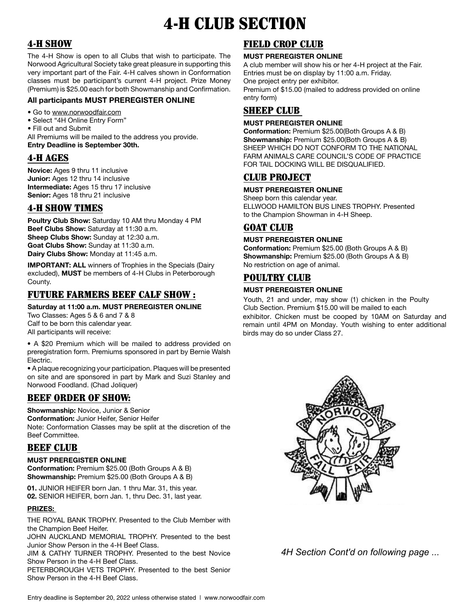# 4-H CLUB SECTION

# 4-H SHOW

The 4-H Show is open to all Clubs that wish to participate. The Norwood Agricultural Society take great pleasure in supporting this very important part of the Fair. 4-H calves shown in Conformation classes must be participant's current 4-H project. Prize Money (Premium) is \$25.00 each for both Showmanship and Confirmation.

## **All participants MUST PREREGISTER ONLINE**

• Go to www.norwoodfair.com

- Select "4H Online Entry Form"
- Fill out and Submit

All Premiums will be mailed to the address you provide. **Entry Deadline is September 30th.**

## 4-H AGES

**Novice:** Ages 9 thru 11 inclusive **Junior:** Ages 12 thru 14 inclusive **Intermediate:** Ages 15 thru 17 inclusive **Senior:** Ages 18 thru 21 inclusive

## 4-H SHOW TIMES

**Poultry Club Show:** Saturday 10 AM thru Monday 4 PM **Beef Clubs Show:** Saturday at 11:30 a.m. **Sheep Clubs Show:** Sunday at 12:30 a.m. **Goat Clubs Show:** Sunday at 11:30 a.m. **Dairy Clubs Show:** Monday at 11:45 a.m.

**IMPORTANT: ALL** winners of Trophies in the Specials (Dairy excluded), **MUST** be members of 4-H Clubs in Peterborough County.

# FUTURE FARMERS BEEF CALF SHOW :

**Saturday at 11:00 a.m. MUST PREREGISTER ONLINE**

Two Classes: Ages 5 & 6 and 7 & 8 Calf to be born this calendar year. All participants will receive:

• A \$20 Premium which will be mailed to address provided on preregistration form. Premiums sponsored in part by Bernie Walsh Electric.

• A plaque recognizing your participation. Plaques will be presented on site and are sponsored in part by Mark and Suzi Stanley and Norwood Foodland. (Chad Joliquer)

## BEEF ORDER OF SHOW:

**Showmanship:** Novice, Junior & Senior **Conformation:** Junior Heifer, Senior Heifer Note: Conformation Classes may be split at the discretion of the Beef Committee.

## BEEF CLUB

#### **MUST PREREGISTER ONLINE**

**Conformation:** Premium \$25.00 (Both Groups A & B) **Showmanship:** Premium \$25.00 (Both Groups A & B)

**01.** JUNIOR HEIFER born Jan. 1 thru Mar. 31, this year. **02.** SENIOR HEIFER, born Jan. 1, thru Dec. 31, last year.

#### **PRIZES:**

THE ROYAL BANK TROPHY. Presented to the Club Member with the Champion Beef Heifer.

JOHN AUCKLAND MEMORIAL TROPHY. Presented to the best Junior Show Person in the 4-H Beef Class.

JIM & CATHY TURNER TROPHY. Presented to the best Novice Show Person in the 4-H Beef Class.

PETERBOROUGH VETS TROPHY. Presented to the best Senior Show Person in the 4-H Beef Class.

# FIELD CROP CLUB

#### **MUST PREREGISTER ONLINE**

A club member will show his or her 4-H project at the Fair. Entries must be on display by 11:00 a.m. Friday. One project entry per exhibitor.

Premium of \$15.00 (mailed to address provided on online entry form)

# **SHEEP CLUB**

#### **MUST PREREGISTER ONLINE**

**Conformation:** Premium \$25.00(Both Groups A & B) **Showmanship:** Premium \$25.00(Both Groups A & B) SHEEP WHICH DO NOT CONFORM TO THE NATIONAL FARM ANIMALS CARE COUNCIL'S CODE OF PRACTICE FOR TAIL DOCKING WILL BE DISQUALIFIED.

# CLUB PROJECT

#### **MUST PREREGISTER ONLINE**

Sheep born this calendar year. ELLWOOD HAMILTON BUS LINES TROPHY. Presented to the Champion Showman in 4-H Sheep.

## GOAT CLUB

#### **MUST PREREGISTER ONLINE**

**Conformation:** Premium \$25.00 (Both Groups A & B) **Showmanship:** Premium \$25.00 (Both Groups A & B) No restriction on age of animal.

## POULTRY CLUB

### **MUST PREREGISTER ONLINE**

Youth, 21 and under, may show (1) chicken in the Poulty Club Section. Premium \$15.00 will be mailed to each exhibitor. Chicken must be cooped by 10AM on Saturday and remain until 4PM on Monday. Youth wishing to enter additional birds may do so under Class 27.



*4H Section Cont'd on following page ...*